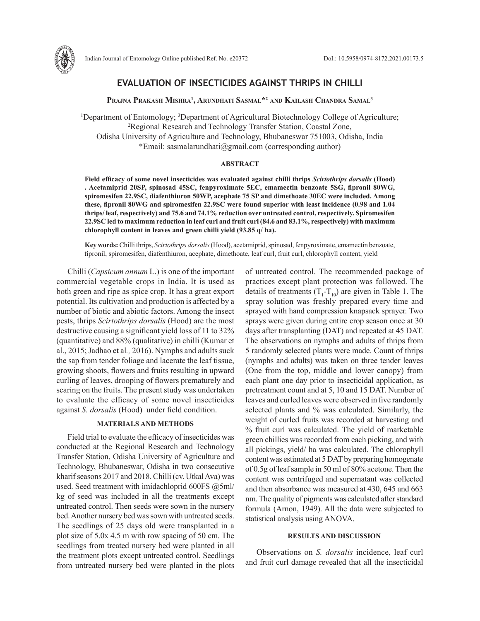

# **EVALUATION OF INSECTICIDES AGAINST THRIPS IN CHILLI**

**Prajna Prakash Mishra1 , Arundhati Sasmal\*2 and Kailash Chandra Samal3**

<sup>1</sup>Department of Entomology; <sup>3</sup>Department of Agricultural Biotechnology College of Agriculture;<br><sup>2</sup>Regional Research and Technology Transfer Station. Coastal Zone <sup>2</sup>Regional Research and Technology Transfer Station, Coastal Zone, Odisha University of Agriculture and Technology, Bhubaneswar 751003, Odisha, India \*Email: sasmalarundhati@gmail.com (corresponding author)

## **ABSTRACT**

**Field efficacy of some novel insecticides was evaluated against chilli thrips** *Scirtothrips dorsalis* **(Hood) . Acetamiprid 20SP, spinosad 45SC, fenpyroximate 5EC, emamectin benzoate 5SG, fipronil 80WG, spiromesifen 22.9SC, diafenthiuron 50WP, acephate 75 SP and dimethoate 30EC were included. Among these, fipronil 80WG and spiromesifen 22.9SC were found superior with least incidence (0.98 and 1.04 thrips/ leaf, respectively) and 75.6 and 74.1% reduction over untreated control, respectively. Spiromesifen 22.9SC led to maximum reduction in leaf curl and fruit curl (84.6 and 83.1%, respectively) with maximum chlorophyll content in leaves and green chilli yield (93.85 q/ ha).** 

**Key words:** Chilli thrips, *Scirtothrips dorsalis* (Hood), acetamiprid, spinosad, fenpyroximate, emamectin benzoate, fipronil, spiromesifen, diafenthiuron, acephate, dimethoate, leaf curl, fruit curl, chlorophyll content, yield

Chilli (*Capsicum annum* L.) is one of the important commercial vegetable crops in India. It is used as both green and ripe as spice crop. It has a great export potential. Its cultivation and production is affected by a number of biotic and abiotic factors. Among the insect pests, thrips *Scirtothrips dorsalis* (Hood) are the most destructive causing a significant yield loss of 11 to 32% (quantitative) and 88% (qualitative) in chilli (Kumar et al., 2015; Jadhao et al*.,* 2016). Nymphs and adults suck the sap from tender foliage and lacerate the leaf tissue, growing shoots, flowers and fruits resulting in upward curling of leaves, drooping of flowers prematurely and scaring on the fruits. The present study was undertaken to evaluate the efficacy of some novel insecticides against *S. dorsalis* (Hood) under field condition.

#### **MATERIALS AND METHODS**

Field trial to evaluate the efficacy of insecticides was conducted at the Regional Research and Technology Transfer Station, Odisha University of Agriculture and Technology, Bhubaneswar, Odisha in two consecutive kharif seasons 2017 and 2018. Chilli (cv. Utkal Ava) was used. Seed treatment with imidachloprid 600FS @5ml/ kg of seed was included in all the treatments except untreated control. Then seeds were sown in the nursery bed. Another nursery bed was sown with untreated seeds. The seedlings of 25 days old were transplanted in a plot size of 5.0x 4.5 m with row spacing of 50 cm. The seedlings from treated nursery bed were planted in all the treatment plots except untreated control. Seedlings from untreated nursery bed were planted in the plots of untreated control. The recommended package of practices except plant protection was followed. The details of treatments  $(T_1 - T_{10})$  are given in Table 1. The spray solution was freshly prepared every time and sprayed with hand compression knapsack sprayer. Two sprays were given during entire crop season once at 30 days after transplanting (DAT) and repeated at 45 DAT. The observations on nymphs and adults of thrips from 5 randomly selected plants were made. Count of thrips (nymphs and adults) was taken on three tender leaves (One from the top, middle and lower canopy) from each plant one day prior to insecticidal application, as pretreatment count and at 5, 10 and 15 DAT. Number of leaves and curled leaves were observed in five randomly selected plants and % was calculated. Similarly, the weight of curled fruits was recorded at harvesting and % fruit curl was calculated. The yield of marketable green chillies was recorded from each picking, and with all pickings, yield/ ha was calculated. The chlorophyll content was estimated at 5 DAT by preparing homogenate of 0.5g of leaf sample in 50 ml of 80% acetone. Then the content was centrifuged and supernatant was collected and then absorbance was measured at 430, 645 and 663 nm. The quality of pigments was calculated after standard formula (Arnon, 1949). All the data were subjected to statistical analysis using ANOVA.

#### **RESULTS AND DISCUSSION**

Observations on *S. dorsalis* incidence, leaf curl and fruit curl damage revealed that all the insecticidal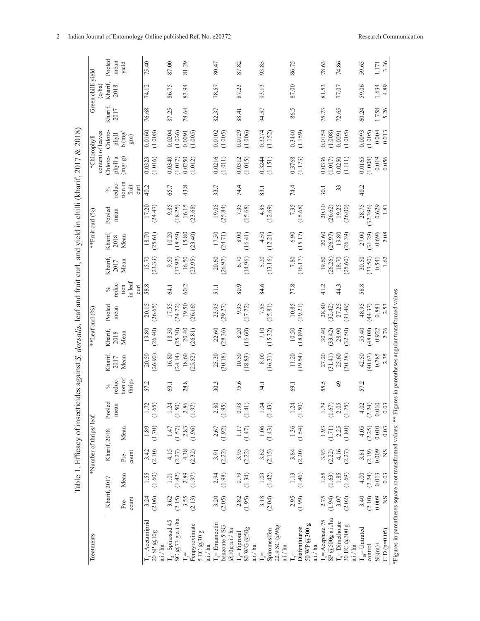| Table 1. Efficacy of insecticides against S. dorsalis, leaf and fruit curl, and yield in chilli (kharif, 2017 & 2018) |                                   | Pooled<br>mean     | yield                             | 75.40             |                       | 87.00    |                                           | 81.29                                                           |                    | 80.47                 |                                 | 87.82                        |                       | 93.85            |                                         | 86.75            |                                          | 78.63                                   |         | 74.86                                               | 59.65               |                   | 3.36<br>1.171              |                                                                                                              |
|-----------------------------------------------------------------------------------------------------------------------|-----------------------------------|--------------------|-----------------------------------|-------------------|-----------------------|----------|-------------------------------------------|-----------------------------------------------------------------|--------------------|-----------------------|---------------------------------|------------------------------|-----------------------|------------------|-----------------------------------------|------------------|------------------------------------------|-----------------------------------------|---------|-----------------------------------------------------|---------------------|-------------------|----------------------------|--------------------------------------------------------------------------------------------------------------|
|                                                                                                                       | Green chilli yield<br>$(q$ ha)    | Kharif,<br>2018    |                                   | 74.12             |                       | 86.75    |                                           | 83.94                                                           |                    | 78.57                 |                                 | 87.23                        |                       | 93.13            |                                         | 87.00            |                                          | 81.53                                   |         | 77.07                                               | 59.06               |                   | 1.634<br>4.89              |                                                                                                              |
|                                                                                                                       |                                   | Kharif.<br>2017    |                                   | 76.68             |                       | 87.25    |                                           | 78.64                                                           |                    | 82.37                 |                                 | 88.41                        |                       | 94.57            |                                         | 86.5             |                                          | 75.73                                   |         | 72.65                                               | 60.24               |                   | 5.26<br>1.758              |                                                                                                              |
|                                                                                                                       | content of leaves<br>*Chlorophyll | Chloro-<br>phyll   | $b$ (mg/<br>$\widehat{\text{Em}}$ | 0.0160            | (1.008)               | 0.0204   | (1.026)                                   | (1.005)<br>0.0091                                               |                    | 0.0102                | (1.005)                         | 0.0129                       | (1.006)               | 0.3274           | (1.152)                                 | 0.3440           | (1.159)                                  | 0.0154                                  | (1.008) | (1.005)<br>0.0091                                   | 0.0093              | (1.005)           | 0.004<br>0.013             |                                                                                                              |
|                                                                                                                       |                                   | Chloro-<br>phyll a | (mg/gn)                           | 0.0323            | (1.016)               | 0.0340   | (1.017)                                   | 0.0250<br>(1.012)                                               |                    | 0.0216                | (1.011)                         | 0.0312                       | (1.015)               | 0.3244           | (1.151)                                 | 0.3768           | (1.173)                                  | 0.0336                                  | (1.017) | 0.0250<br>(1.111)                                   | 0.0165              | (1.008)           | 0.019<br>0.056             |                                                                                                              |
|                                                                                                                       |                                   | reduc-<br>$\%$     | tion in<br>fruit<br>curl          | 40.2              |                       | 65.7     |                                           | 43.8                                                            |                    | 33.7                  |                                 | 74.4                         |                       | 83.1             |                                         | 74.4             |                                          | 30.1                                    |         | 33                                                  | 40.2                |                   |                            |                                                                                                              |
|                                                                                                                       | **Fruit curl (%)                  | Pooled<br>mean     |                                   | 17.20             | (24.47)               |          | $9.85$<br>(18.25)                         | 16.15<br>(23.68)                                                |                    | 19.05                 | (25.84)                         | 7.35                         | (15.68)               | 4.85             | (12.69)                                 | 7.35             | (15.68)                                  | 20.10                                   | (26.62) | (26.00)<br>19.25                                    | 28.75               | (32.396)          | 0.629<br>1.81              |                                                                                                              |
|                                                                                                                       |                                   | Kharif,<br>2018    | Mean                              | 18.70             | (25.61)               | 10.20    | 18.59)                                    | 15.80<br>(23.40)                                                |                    | 17.50                 | (24.71)                         | 8.00                         | (16.41)               | 4.50             | (12.21)                                 | 6.90             | (15.17)                                  | 20.60                                   | (26.97) | 19.80<br>(26.39)                                    | 27.00               | (31.29)           | 0.696<br>2.08              |                                                                                                              |
|                                                                                                                       |                                   | Kharif,<br>2017    | Mean                              | 15.70             | (23.33)               | 9.50     | (17.92)                                   | 16.50<br>(23.95)                                                |                    | 20.60                 | (26.97)                         | 6.70                         | (14.96)               | 5.20             | (13.16)                                 | $7.80\,$         | (16.17)                                  | 19.60                                   | (26.26) | 18.70<br>(25.60)                                    | 30.50               | (33.50)           | 1.62<br>0.541              |                                                                                                              |
|                                                                                                                       | **Leaf curl (%)                   | reduc-<br>$\%$     | in leaf<br>tion<br>curl           | 58.8              |                       | 64.1     |                                           | 60.2                                                            |                    | 51.1                  |                                 | 80.9                         |                       | 84.6             |                                         | 77.8             |                                          | 41.2                                    |         | 44.3                                                | 58.8                |                   |                            |                                                                                                              |
|                                                                                                                       |                                   | Pooled<br>mean     |                                   | 20.15             | (26.65)               | 17.55    | $(24.72)$<br>19.50                        | (26.16)                                                         |                    | 23.95                 | (29.27)                         | 9.35                         | (17.72)               | 7.55             | (15.81)                                 | 10.85            | (19.21)                                  | 28.80                                   | (32.42) | 27.25<br>(31.49)                                    | 48.95               | (44.37)           | 2.53<br>0.881              |                                                                                                              |
|                                                                                                                       |                                   | Kharif,<br>2018    | Mean                              | 19.80             | (26.40)               | 18.30    | (25.30)                                   | 20.40<br>(26.81)                                                |                    | 22.60                 | (28.36)                         | 8.20                         | (16.60)               | $7.10$           | (15.32)                                 | (10.50)          |                                          | 30.40                                   | (33.42) | 28.90<br>(32.50)                                    | 55.40               | (48.08)           | 2.76<br>0.922              |                                                                                                              |
|                                                                                                                       |                                   | Kharif,<br>2017    | Mean                              | 20.50             | (26.90)               | 16.80    | (24.14)                                   | 18.60<br>(25.52)                                                |                    | 25.30                 | (30.18)                         | 10.50                        | (18.83)               | 8.00             | (16.31)                                 | 11.20            | (19.54)                                  | 27.20                                   | (31.41) | 25.60<br>(30.38)                                    | 42.50               | (40.67)           | 0.785<br>2.35              |                                                                                                              |
|                                                                                                                       | *Number of thrips/ leaf           | reduc-<br>$\%$     | tion of<br>thrips                 | 57.2              |                       | 69.1     |                                           | 28.8                                                            |                    | 30.3                  |                                 | 75.6                         |                       | 74.1             |                                         | 69.1             |                                          | 55.5                                    |         | $\frac{4}{9}$                                       | 57.2                |                   |                            |                                                                                                              |
|                                                                                                                       |                                   | Pooled<br>mean     |                                   |                   | $1.72$<br>(1.65)      |          |                                           | $\begin{array}{c} 1.24 \\ (1.50) \\ 2.86 \\ (1.97) \end{array}$ |                    | $\frac{2.80}{(1.95)}$ |                                 | (1.41)                       |                       | 1.04             | (1.43)                                  | 1.24             | (1.50)                                   | (1.79)                                  |         | 2.05<br>(1.75)                                      | 4.02                | $(2.24)$<br>0.010 | 0.03                       |                                                                                                              |
|                                                                                                                       |                                   |                    | Mean                              |                   | (1.89)                |          | $1.47$<br>(1.57)<br>2.83                  | (1.96)                                                          |                    | 2.67                  | (1.92)                          | $1.17\,$                     | (1.47)                | $1.06$<br>(1.43) |                                         | $1.36$<br>(1.54) |                                          | $\frac{1.93}{(1.71)}$                   |         | 2.25<br>(1.80)                                      | 4.05                | (2.25)            | 0.010<br>0.03              |                                                                                                              |
|                                                                                                                       |                                   | Kharif, 2018       | count<br>Pre-                     | 3.42              | (2.10)                | 4.15     | $(2.27)$<br>4.38                          | (2.32)                                                          |                    | 3.91                  | (2.22)                          | 3.95                         | (2.22)                | $3.62$<br>(2.15) |                                         | 3.84             | (2.20)                                   | 3.93                                    | (2.22)  | 4.16<br>(2.27)                                      | 3.81                | (2.19)            | 0.009<br>SN                |                                                                                                              |
|                                                                                                                       |                                   |                    | Mean                              | 1.55              | (1.60)                | $1.01\,$ | $(1.42)$<br>2.89                          | (1.97)                                                          |                    | 2.94                  | (1.98)                          | 0.79                         | (1.34)                | $1.03\,$         | (1.42)                                  | 1.13             | (1.46)                                   | 1.65                                    | (1.63)  | $1.85$<br>(1.69)                                    | 4.00                | (2.24)            | 0.013<br>0.03              |                                                                                                              |
|                                                                                                                       |                                   | Kharif, 2017       | count<br>Pre-                     | 3.24              | (2.06)                |          | $3.62$<br>(2.15)                          | (2.13)<br>3.55                                                  |                    | 3.20                  | (2.05)                          | 2.82                         | (1.95)                | 3.18             | (2.04)                                  | 2.95             | (1.99)                                   | 2.75                                    | (1.94)  | 3.07<br>(2.02)                                      | 3.40                | (2.10)            | 0.009<br>SN                |                                                                                                              |
|                                                                                                                       | Treatments                        |                    |                                   | $T =$ Acetamiprid | 20 SP @10g<br>a.i./ha |          | $T_2$ = Spinosad 45<br>SC $@73$ g a.i./ha | Fenpyroximate<br>$\mathbb{F}_3^+$                               | 5EC@30g<br>a.i./ha | $T_4$ = Emamectin     | benzoate 5 SG<br>$@10g$ a.i./ha | $T_{\frac{5}{2}}$ = Fipronil | 80 WG @50g<br>a.i./ha | $T_{\circ}$      | 22.9 SC @96g<br>Spiromesifen<br>a.i./ha |                  | 50 WP @300 g<br>Diafenthiuron<br>a.i./ha | $T_s =$ Acephate 75<br>SP @500g a.i./ha |         | $T9$ = Dimethoate<br>g<br>$30$ EC $@300$<br>a.i./ha | $T_{10}$ = Untrated | control           | $CD (p=0.05)$<br>$SE(m)$ + | *Figures in parentheses square root transformed values; ** Figures in parentheses angular transformed values |